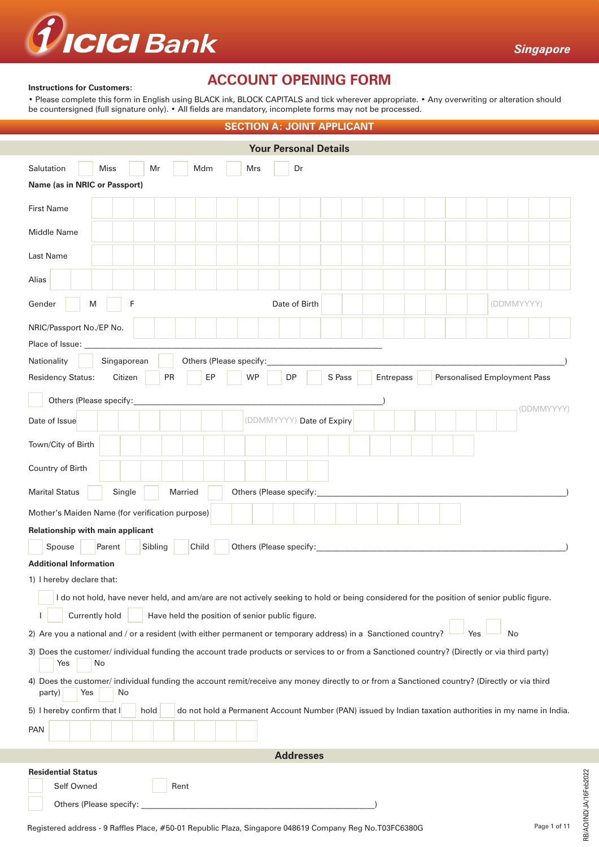

### **Instructions for Customers:**

# **ACCOUNT OPENING FORM**

• Please complete this form in English using BLACK ink, BLOCK CAPITALS and tick wherever appropriate. • Any overwriting or alteration should be countersigned (full signature only). • All fields are mandatory, incomplete forms may not be processed.

| <b>SECTION A: JOINT APPLICANT</b>                                                                                                                                    |  |  |  |  |  |  |  |  |  |  |
|----------------------------------------------------------------------------------------------------------------------------------------------------------------------|--|--|--|--|--|--|--|--|--|--|
| <b>Your Personal Details</b>                                                                                                                                         |  |  |  |  |  |  |  |  |  |  |
| Salutation<br><b>Miss</b><br>Mr<br>Mdm<br>Dr<br>Mrs                                                                                                                  |  |  |  |  |  |  |  |  |  |  |
| Name (as in NRIC or Passport)                                                                                                                                        |  |  |  |  |  |  |  |  |  |  |
| <b>First Name</b>                                                                                                                                                    |  |  |  |  |  |  |  |  |  |  |
| Middle Name                                                                                                                                                          |  |  |  |  |  |  |  |  |  |  |
| Last Name                                                                                                                                                            |  |  |  |  |  |  |  |  |  |  |
| Alias                                                                                                                                                                |  |  |  |  |  |  |  |  |  |  |
| F<br>Date of Birth<br>Gender<br>M<br>(DDMMYYYY)                                                                                                                      |  |  |  |  |  |  |  |  |  |  |
| NRIC/Passport No./EP No.<br>Place of Issue:                                                                                                                          |  |  |  |  |  |  |  |  |  |  |
| Nationality<br>Singaporean<br>Others (Please specify:                                                                                                                |  |  |  |  |  |  |  |  |  |  |
| PR<br>EP<br><b>WP</b><br>S Pass<br><b>Residency Status:</b><br>Citizen<br>DP<br>Entrepass<br><b>Personalised Employment Pass</b>                                     |  |  |  |  |  |  |  |  |  |  |
| Others (Please specify:                                                                                                                                              |  |  |  |  |  |  |  |  |  |  |
| (DDMMYYYY)<br>Date of Issue<br>(DDMMYYYY) Date of Expiry                                                                                                             |  |  |  |  |  |  |  |  |  |  |
| Town/City of Birth                                                                                                                                                   |  |  |  |  |  |  |  |  |  |  |
| Country of Birth                                                                                                                                                     |  |  |  |  |  |  |  |  |  |  |
| Others (Please specify:<br><b>Marital Status</b><br>Single<br>Married                                                                                                |  |  |  |  |  |  |  |  |  |  |
| Mother's Maiden Name (for verification purpose)                                                                                                                      |  |  |  |  |  |  |  |  |  |  |
| Relationship with main applicant                                                                                                                                     |  |  |  |  |  |  |  |  |  |  |
| Spouse<br>Sibling<br>Child<br>Others (Please specify:<br>Parent                                                                                                      |  |  |  |  |  |  |  |  |  |  |
| <b>Additional Information</b>                                                                                                                                        |  |  |  |  |  |  |  |  |  |  |
| 1) I hereby declare that:                                                                                                                                            |  |  |  |  |  |  |  |  |  |  |
| I do not hold, have never held, and am/are are not actively seeking to hold or being considered for the position of senior public figure.                            |  |  |  |  |  |  |  |  |  |  |
| Have held the position of senior public figure.<br>Currently hold                                                                                                    |  |  |  |  |  |  |  |  |  |  |
| 2) Are you a national and / or a resident (with either permanent or temporary address) in a Sanctioned country?<br>No<br>Yes                                         |  |  |  |  |  |  |  |  |  |  |
| 3) Does the customer/ individual funding the account trade products or services to or from a Sanctioned country? (Directly or via third party)<br>No<br>Yes          |  |  |  |  |  |  |  |  |  |  |
| 4) Does the customer/ individual funding the account remit/receive any money directly to or from a Sanctioned country? (Directly or via third<br>Yes<br>No<br>party) |  |  |  |  |  |  |  |  |  |  |
| do not hold a Permanent Account Number (PAN) issued by Indian taxation authorities in my name in India.<br>5) I hereby confirm that I<br>hold                        |  |  |  |  |  |  |  |  |  |  |
| <b>PAN</b>                                                                                                                                                           |  |  |  |  |  |  |  |  |  |  |
| <b>Addresses</b>                                                                                                                                                     |  |  |  |  |  |  |  |  |  |  |
| <b>Residential Status</b>                                                                                                                                            |  |  |  |  |  |  |  |  |  |  |
| Self Owned<br>Rent                                                                                                                                                   |  |  |  |  |  |  |  |  |  |  |
| Others (Please specify:                                                                                                                                              |  |  |  |  |  |  |  |  |  |  |

RB/AO/IND/JA/16Feb2022

RB/AO/IND/JA/16Feb2022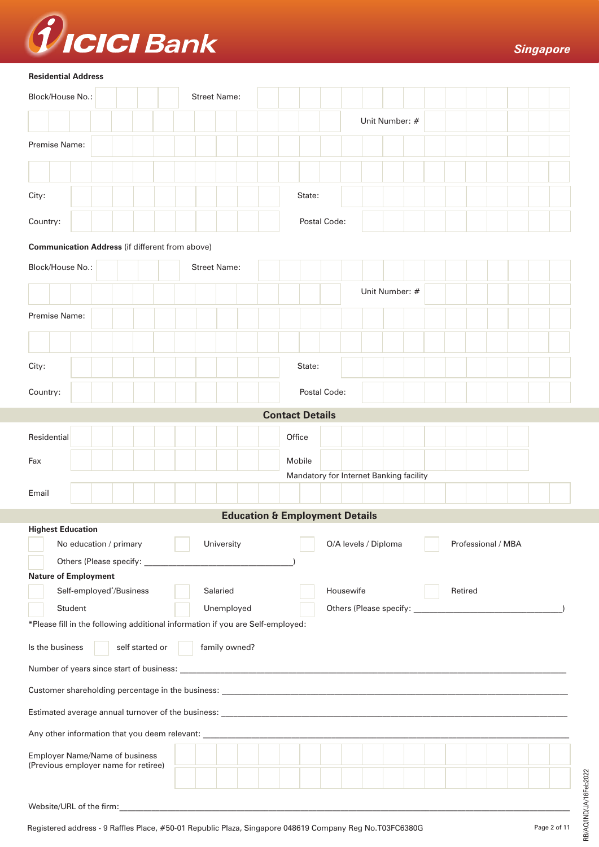

### **Residential Address**

| Block/House No.:                                                                                                |                                                                                                                                                                                                                                                          |  |  |                 |  |  |  | <b>Street Name:</b> |  |        |                                           |              |           |                                         |  |         |                    |  |  |
|-----------------------------------------------------------------------------------------------------------------|----------------------------------------------------------------------------------------------------------------------------------------------------------------------------------------------------------------------------------------------------------|--|--|-----------------|--|--|--|---------------------|--|--------|-------------------------------------------|--------------|-----------|-----------------------------------------|--|---------|--------------------|--|--|
|                                                                                                                 |                                                                                                                                                                                                                                                          |  |  |                 |  |  |  |                     |  |        |                                           |              |           | Unit Number: #                          |  |         |                    |  |  |
| Premise Name:                                                                                                   |                                                                                                                                                                                                                                                          |  |  |                 |  |  |  |                     |  |        |                                           |              |           |                                         |  |         |                    |  |  |
|                                                                                                                 |                                                                                                                                                                                                                                                          |  |  |                 |  |  |  |                     |  |        |                                           |              |           |                                         |  |         |                    |  |  |
| City:                                                                                                           |                                                                                                                                                                                                                                                          |  |  |                 |  |  |  |                     |  |        | State:                                    |              |           |                                         |  |         |                    |  |  |
| Country:                                                                                                        |                                                                                                                                                                                                                                                          |  |  |                 |  |  |  |                     |  |        |                                           | Postal Code: |           |                                         |  |         |                    |  |  |
| <b>Communication Address (if different from above)</b>                                                          |                                                                                                                                                                                                                                                          |  |  |                 |  |  |  |                     |  |        |                                           |              |           |                                         |  |         |                    |  |  |
| Block/House No.:                                                                                                |                                                                                                                                                                                                                                                          |  |  |                 |  |  |  | <b>Street Name:</b> |  |        |                                           |              |           |                                         |  |         |                    |  |  |
|                                                                                                                 |                                                                                                                                                                                                                                                          |  |  |                 |  |  |  |                     |  |        |                                           |              |           | Unit Number: #                          |  |         |                    |  |  |
| Premise Name:                                                                                                   |                                                                                                                                                                                                                                                          |  |  |                 |  |  |  |                     |  |        |                                           |              |           |                                         |  |         |                    |  |  |
|                                                                                                                 |                                                                                                                                                                                                                                                          |  |  |                 |  |  |  |                     |  |        |                                           |              |           |                                         |  |         |                    |  |  |
| City:                                                                                                           |                                                                                                                                                                                                                                                          |  |  |                 |  |  |  |                     |  |        | State:                                    |              |           |                                         |  |         |                    |  |  |
| Country:                                                                                                        |                                                                                                                                                                                                                                                          |  |  |                 |  |  |  |                     |  |        |                                           | Postal Code: |           |                                         |  |         |                    |  |  |
|                                                                                                                 |                                                                                                                                                                                                                                                          |  |  |                 |  |  |  |                     |  |        | <b>Contact Details</b>                    |              |           |                                         |  |         |                    |  |  |
| Residential                                                                                                     |                                                                                                                                                                                                                                                          |  |  |                 |  |  |  |                     |  | Office |                                           |              |           |                                         |  |         |                    |  |  |
| Fax                                                                                                             |                                                                                                                                                                                                                                                          |  |  |                 |  |  |  |                     |  |        | Mobile                                    |              |           |                                         |  |         |                    |  |  |
| Email                                                                                                           |                                                                                                                                                                                                                                                          |  |  |                 |  |  |  |                     |  |        |                                           |              |           | Mandatory for Internet Banking facility |  |         |                    |  |  |
|                                                                                                                 |                                                                                                                                                                                                                                                          |  |  |                 |  |  |  |                     |  |        | <b>Education &amp; Employment Details</b> |              |           |                                         |  |         |                    |  |  |
| <b>Highest Education</b>                                                                                        |                                                                                                                                                                                                                                                          |  |  |                 |  |  |  |                     |  |        |                                           |              |           |                                         |  |         |                    |  |  |
|                                                                                                                 | No education / primary<br>Others (Please specify: Demonstrated by the control of the control of the control of the control of the control of the control of the control of the control of the control of the control of the control of the control of th |  |  |                 |  |  |  | University          |  |        |                                           |              |           | O/A levels / Diploma                    |  |         | Professional / MBA |  |  |
| <b>Nature of Employment</b>                                                                                     |                                                                                                                                                                                                                                                          |  |  |                 |  |  |  |                     |  |        |                                           |              |           |                                         |  |         |                    |  |  |
|                                                                                                                 | Self-employed*/Business                                                                                                                                                                                                                                  |  |  |                 |  |  |  | Salaried            |  |        |                                           |              | Housewife |                                         |  | Retired |                    |  |  |
|                                                                                                                 | Student                                                                                                                                                                                                                                                  |  |  |                 |  |  |  | Unemployed          |  |        |                                           |              |           |                                         |  |         |                    |  |  |
| *Please fill in the following additional information if you are Self-employed:                                  |                                                                                                                                                                                                                                                          |  |  |                 |  |  |  |                     |  |        |                                           |              |           |                                         |  |         |                    |  |  |
| Is the business                                                                                                 |                                                                                                                                                                                                                                                          |  |  | self started or |  |  |  | family owned?       |  |        |                                           |              |           |                                         |  |         |                    |  |  |
|                                                                                                                 |                                                                                                                                                                                                                                                          |  |  |                 |  |  |  |                     |  |        |                                           |              |           |                                         |  |         |                    |  |  |
|                                                                                                                 |                                                                                                                                                                                                                                                          |  |  |                 |  |  |  |                     |  |        |                                           |              |           |                                         |  |         |                    |  |  |
|                                                                                                                 |                                                                                                                                                                                                                                                          |  |  |                 |  |  |  |                     |  |        |                                           |              |           |                                         |  |         |                    |  |  |
| Any other information that you deem relevant: Next and the matter of the state of the state of the state of the |                                                                                                                                                                                                                                                          |  |  |                 |  |  |  |                     |  |        |                                           |              |           |                                         |  |         |                    |  |  |
| <b>Employer Name/Name of business</b><br>(Previous employer name for retiree)                                   |                                                                                                                                                                                                                                                          |  |  |                 |  |  |  |                     |  |        |                                           |              |           |                                         |  |         |                    |  |  |
|                                                                                                                 |                                                                                                                                                                                                                                                          |  |  |                 |  |  |  |                     |  |        |                                           |              |           |                                         |  |         |                    |  |  |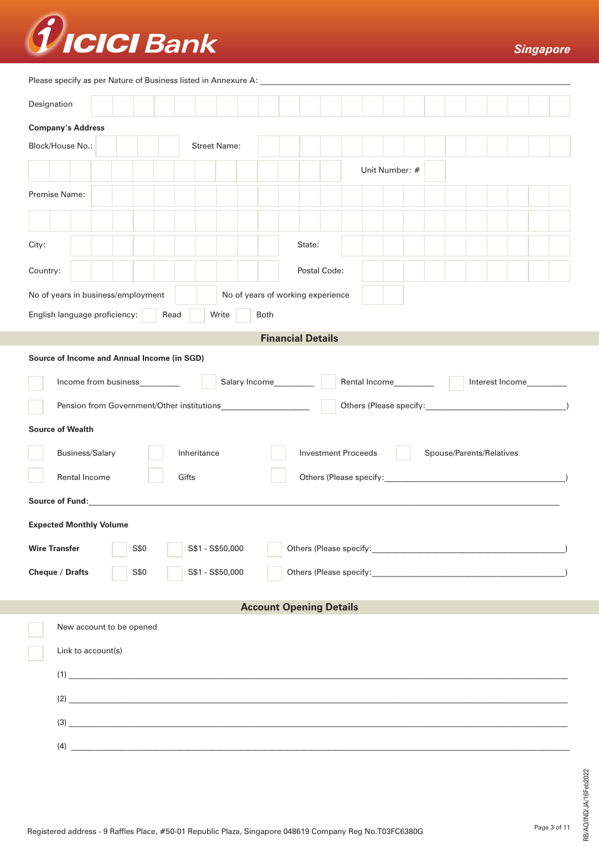

Please specify as per Nature of Business listed in Annexure A:

| The ase specify as per ivature or business instead in Annexure A.                                                                                                                                                              |                                                               |  |                                                                   |  |             |                  |  |                                   |  |        |                            |  |                       |  |  |                          |                          |  |
|--------------------------------------------------------------------------------------------------------------------------------------------------------------------------------------------------------------------------------|---------------------------------------------------------------|--|-------------------------------------------------------------------|--|-------------|------------------|--|-----------------------------------|--|--------|----------------------------|--|-----------------------|--|--|--------------------------|--------------------------|--|
|                                                                                                                                                                                                                                | Designation                                                   |  |                                                                   |  |             |                  |  |                                   |  |        |                            |  |                       |  |  |                          |                          |  |
| <b>Company's Address</b>                                                                                                                                                                                                       |                                                               |  |                                                                   |  |             |                  |  |                                   |  |        |                            |  |                       |  |  |                          |                          |  |
|                                                                                                                                                                                                                                | Block/House No.:<br><b>Street Name:</b>                       |  |                                                                   |  |             |                  |  |                                   |  |        |                            |  |                       |  |  |                          |                          |  |
|                                                                                                                                                                                                                                | Unit Number: #                                                |  |                                                                   |  |             |                  |  |                                   |  |        |                            |  |                       |  |  |                          |                          |  |
| Premise Name:                                                                                                                                                                                                                  |                                                               |  |                                                                   |  |             |                  |  |                                   |  |        |                            |  |                       |  |  |                          |                          |  |
|                                                                                                                                                                                                                                |                                                               |  |                                                                   |  |             |                  |  |                                   |  |        |                            |  |                       |  |  |                          |                          |  |
| City:                                                                                                                                                                                                                          |                                                               |  |                                                                   |  |             |                  |  |                                   |  | State: |                            |  |                       |  |  |                          |                          |  |
| Country:                                                                                                                                                                                                                       |                                                               |  |                                                                   |  |             |                  |  |                                   |  |        | Postal Code:               |  |                       |  |  |                          |                          |  |
| No of years in business/employment                                                                                                                                                                                             |                                                               |  |                                                                   |  |             |                  |  | No of years of working experience |  |        |                            |  |                       |  |  |                          |                          |  |
|                                                                                                                                                                                                                                | English language proficiency:<br><b>Both</b><br>Read<br>Write |  |                                                                   |  |             |                  |  |                                   |  |        |                            |  |                       |  |  |                          |                          |  |
|                                                                                                                                                                                                                                |                                                               |  |                                                                   |  |             |                  |  | <b>Financial Details</b>          |  |        |                            |  |                       |  |  |                          |                          |  |
| Source of Income and Annual Income (in SGD)                                                                                                                                                                                    |                                                               |  |                                                                   |  |             |                  |  |                                   |  |        |                            |  |                       |  |  |                          |                          |  |
|                                                                                                                                                                                                                                |                                                               |  | Income from business________                                      |  |             |                  |  |                                   |  |        |                            |  | Rental Income________ |  |  |                          | Interest Income_________ |  |
|                                                                                                                                                                                                                                |                                                               |  | Pension from Government/Other institutions_______________________ |  |             |                  |  |                                   |  |        |                            |  |                       |  |  |                          |                          |  |
| <b>Source of Wealth</b>                                                                                                                                                                                                        |                                                               |  |                                                                   |  |             |                  |  |                                   |  |        |                            |  |                       |  |  |                          |                          |  |
|                                                                                                                                                                                                                                | <b>Business/Salary</b>                                        |  |                                                                   |  | Inheritance |                  |  |                                   |  |        | <b>Investment Proceeds</b> |  |                       |  |  | Spouse/Parents/Relatives |                          |  |
|                                                                                                                                                                                                                                | Rental Income                                                 |  |                                                                   |  | Gifts       |                  |  |                                   |  |        |                            |  |                       |  |  |                          |                          |  |
| Source of Fund: We are a series of the series of the series of the series of the series of the series of the series of the series of the series of the series of the series of the series of the series of the series of the s |                                                               |  |                                                                   |  |             |                  |  |                                   |  |        |                            |  |                       |  |  |                          |                          |  |
| <b>Expected Monthly Volume</b>                                                                                                                                                                                                 |                                                               |  |                                                                   |  |             |                  |  |                                   |  |        |                            |  |                       |  |  |                          |                          |  |
| <b>Wire Transfer</b>                                                                                                                                                                                                           |                                                               |  | S\$0                                                              |  |             | S\$1 - S\$50,000 |  |                                   |  |        |                            |  |                       |  |  |                          |                          |  |
| Cheque / Drafts                                                                                                                                                                                                                |                                                               |  | S\$0                                                              |  |             | S\$1 - S\$50,000 |  |                                   |  |        |                            |  |                       |  |  |                          |                          |  |
|                                                                                                                                                                                                                                |                                                               |  |                                                                   |  |             |                  |  | <b>Account Opening Details</b>    |  |        |                            |  |                       |  |  |                          |                          |  |
|                                                                                                                                                                                                                                |                                                               |  |                                                                   |  |             |                  |  |                                   |  |        |                            |  |                       |  |  |                          |                          |  |
|                                                                                                                                                                                                                                | New account to be opened<br>Link to account(s)                |  |                                                                   |  |             |                  |  |                                   |  |        |                            |  |                       |  |  |                          |                          |  |
|                                                                                                                                                                                                                                |                                                               |  | (1)                                                               |  |             |                  |  |                                   |  |        |                            |  |                       |  |  |                          |                          |  |
|                                                                                                                                                                                                                                |                                                               |  | (2)                                                               |  |             |                  |  |                                   |  |        |                            |  |                       |  |  |                          |                          |  |
|                                                                                                                                                                                                                                |                                                               |  |                                                                   |  |             |                  |  |                                   |  |        |                            |  |                       |  |  |                          |                          |  |
|                                                                                                                                                                                                                                |                                                               |  | (4)                                                               |  |             |                  |  |                                   |  |        |                            |  |                       |  |  |                          |                          |  |
|                                                                                                                                                                                                                                |                                                               |  |                                                                   |  |             |                  |  |                                   |  |        |                            |  |                       |  |  |                          |                          |  |

RB/AO/IND/JA/16Feb2022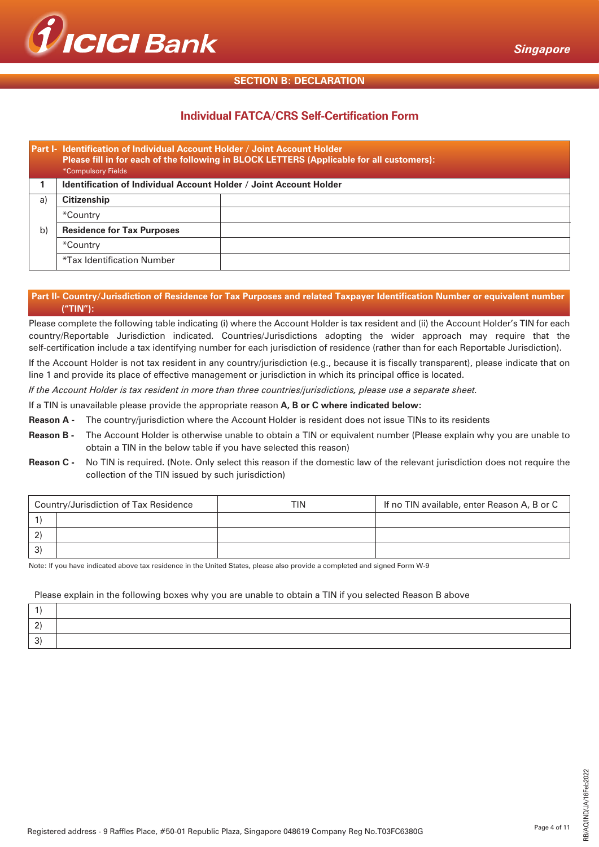

# **SECTION B: DECLARATION**

# **Individual FATCA/CRS Self-Certification Form**

|    | Part I- Identification of Individual Account Holder / Joint Account Holder<br>Please fill in for each of the following in BLOCK LETTERS (Applicable for all customers):<br><b>*Compulsory Fields</b> |  |  |  |  |  |  |  |  |
|----|------------------------------------------------------------------------------------------------------------------------------------------------------------------------------------------------------|--|--|--|--|--|--|--|--|
|    | Identification of Individual Account Holder / Joint Account Holder                                                                                                                                   |  |  |  |  |  |  |  |  |
| a) | <b>Citizenship</b>                                                                                                                                                                                   |  |  |  |  |  |  |  |  |
|    | *Country                                                                                                                                                                                             |  |  |  |  |  |  |  |  |
| b) | <b>Residence for Tax Purposes</b>                                                                                                                                                                    |  |  |  |  |  |  |  |  |
|    | *Country                                                                                                                                                                                             |  |  |  |  |  |  |  |  |
|    | *Tax Identification Number                                                                                                                                                                           |  |  |  |  |  |  |  |  |

# Part II- Country/Jurisdiction of Residence for Tax Purposes and related Taxpayer Identification Number or equivalent number **("TIN"):**

Please complete the following table indicating (i) where the Account Holder is tax resident and (ii) the Account Holder's TIN for each country/Reportable Jurisdiction indicated. Countries/Jurisdictions adopting the wider approach may require that the self-certification include a tax identifying number for each jurisdiction of residence (rather than for each Reportable Jurisdiction).

If the Account Holder is not tax resident in any country/jurisdiction (e.g., because it is fiscally transparent), please indicate that on line 1 and provide its place of effective management or jurisdiction in which its principal office is located.

*If the Account Holder is tax resident in more than three countries/jurisdictions, please use a separate sheet.*

If a TIN is unavailable please provide the appropriate reason **A, B or C where indicated below:**

**Reason A -** The country/jurisdiction where the Account Holder is resident does not issue TINs to its residents

- **Reason B -** The Account Holder is otherwise unable to obtain a TIN or equivalent number (Please explain why you are unable to obtain a TIN in the below table if you have selected this reason)
- **Reason C -** No TIN is required. (Note. Only select this reason if the domestic law of the relevant jurisdiction does not require the collection of the TIN issued by such jurisdiction)

| Country/Jurisdiction of Tax Residence | <b>TIN</b> | If no TIN available, enter Reason A, B or C |
|---------------------------------------|------------|---------------------------------------------|
|                                       |            |                                             |
|                                       |            |                                             |
|                                       |            |                                             |

Note: If you have indicated above tax residence in the United States, please also provide a completed and signed Form W-9

# Please explain in the following boxes why you are unable to obtain a TIN if you selected Reason B above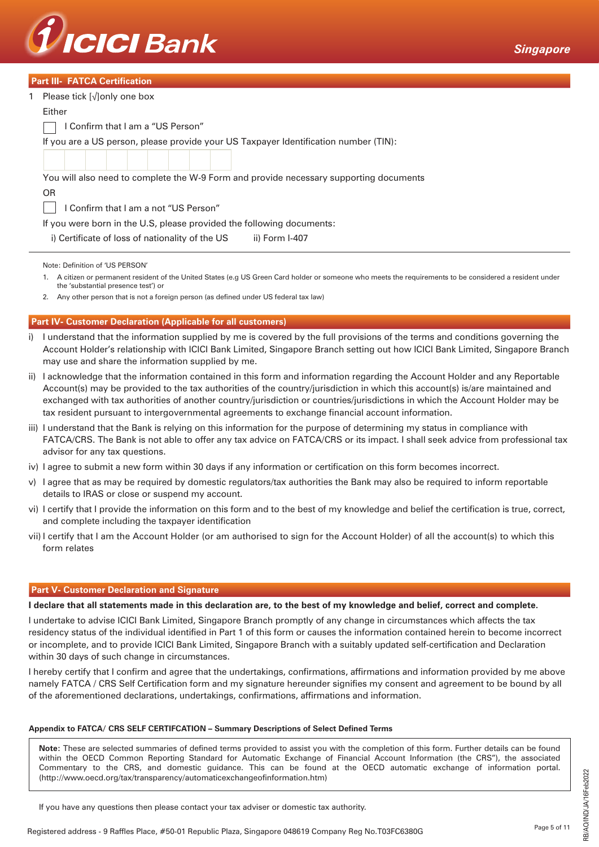

|  | <b>Part III- FATCA Certification</b> |
|--|--------------------------------------|
|  |                                      |

| 1 Please tick $\lceil \sqrt{\rceil}$ only one box                                                                                                                                             |
|-----------------------------------------------------------------------------------------------------------------------------------------------------------------------------------------------|
| Either                                                                                                                                                                                        |
| Confirm that I am a "US Person"                                                                                                                                                               |
| If you are a US person, please provide your US Taxpayer Identification number (TIN):                                                                                                          |
|                                                                                                                                                                                               |
| You will also need to complete the W-9 Form and provide necessary supporting documents                                                                                                        |
| <b>OR</b>                                                                                                                                                                                     |
| Confirm that I am a not "US Person"                                                                                                                                                           |
| If you were born in the U.S, please provided the following documents:                                                                                                                         |
| i) Certificate of loss of nationality of the US<br>ii) Form I-407                                                                                                                             |
| Note: Definition of 'US PERSON'                                                                                                                                                               |
| A citizen or permanent resident of the United States (e.g US Green Card holder or someone who meets the requirements to be considered a resident under<br>the 'substantial presence test') or |

2. Any other person that is not a foreign person (as defined under US federal tax law)

# **Part IV- Customer Declaration (Applicable for all customers)**

- i) I understand that the information supplied by me is covered by the full provisions of the terms and conditions governing the Account Holder's relationship with ICICI Bank Limited, Singapore Branch setting out how ICICI Bank Limited, Singapore Branch may use and share the information supplied by me.
- ii) I acknowledge that the information contained in this form and information regarding the Account Holder and any Reportable Account(s) may be provided to the tax authorities of the country/jurisdiction in which this account(s) is/are maintained and exchanged with tax authorities of another country/jurisdiction or countries/jurisdictions in which the Account Holder may be tax resident pursuant to intergovernmental agreements to exchange financial account information.
- iii) I understand that the Bank is relying on this information for the purpose of determining my status in compliance with FATCA/CRS. The Bank is not able to offer any tax advice on FATCA/CRS or its impact. I shall seek advice from professional tax advisor for any tax questions.
- iv) I agree to submit a new form within 30 days if any information or certification on this form becomes incorrect.
- v) I agree that as may be required by domestic regulators/tax authorities the Bank may also be required to inform reportable details to IRAS or close or suspend my account.
- vi) I certify that I provide the information on this form and to the best of my knowledge and belief the certification is true, correct, and complete including the taxpayer identification
- vii) I certify that I am the Account Holder (or am authorised to sign for the Account Holder) of all the account(s) to which this form relates

### **Part V- Customer Declaration and Signature**

#### **I declare that all statements made in this declaration are, to the best of my knowledge and belief, correct and complete.**

I undertake to advise ICICI Bank Limited, Singapore Branch promptly of any change in circumstances which affects the tax residency status of the individual identified in Part 1 of this form or causes the information contained herein to become incorrect or incomplete, and to provide ICICI Bank Limited, Singapore Branch with a suitably updated self-certification and Declaration within 30 days of such change in circumstances.

I hereby certify that I confirm and agree that the undertakings, confirmations, affirmations and information provided by me above namely FATCA / CRS Self Certification form and my signature hereunder signifies my consent and agreement to be bound by all of the aforementioned declarations, undertakings, confirmations, affirmations and information.

#### **Appendix to FATCA/ CRS SELF CERTIFCATION – Summary Descriptions of Select Defined Terms**

**Note:** These are selected summaries of defined terms provided to assist you with the completion of this form. Further details can be found within the OECD Common Reporting Standard for Automatic Exchange of Financial Account Information (the CRS"), the associated Commentary to the CRS, and domestic guidance. This can be found at the OECD automatic exchange of information portal. (http://www.oecd.org/tax/transparency/automaticexchangeofinformation.htm)

If you have any questions then please contact your tax adviser or domestic tax authority.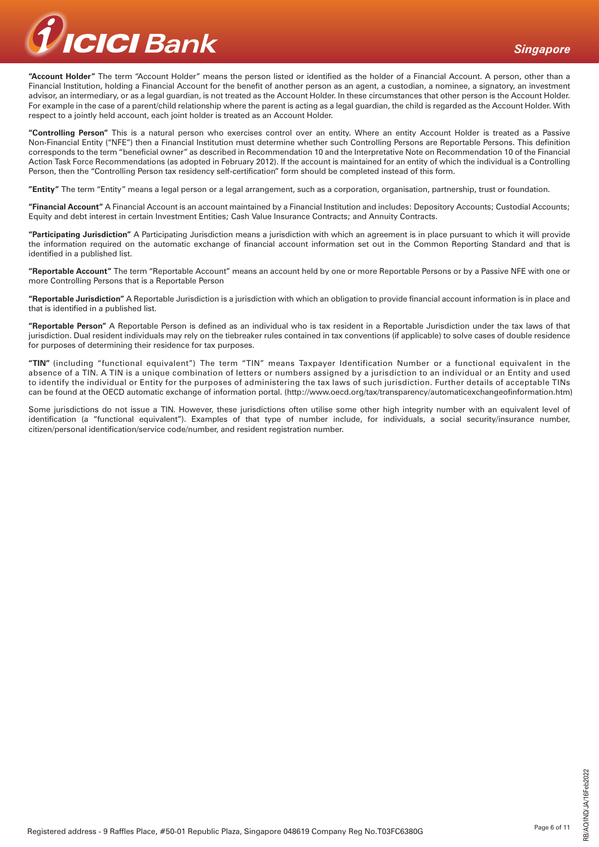

**"Account Holder"** The term "Account Holder" means the person listed or identified as the holder of a Financial Account. A person, other than a Financial Institution, holding a Financial Account for the benefit of another person as an agent, a custodian, a nominee, a signatory, an investment advisor, an intermediary, or as a legal guardian, is not treated as the Account Holder. In these circumstances that other person is the Account Holder. For example in the case of a parent/child relationship where the parent is acting as a legal guardian, the child is regarded as the Account Holder. With respect to a jointly held account, each joint holder is treated as an Account Holder.

**"Controlling Person"** This is a natural person who exercises control over an entity. Where an entity Account Holder is treated as a Passive Non-Financial Entity ("NFE") then a Financial Institution must determine whether such Controlling Persons are Reportable Persons. This definition corresponds to the term "beneficial owner" as described in Recommendation 10 and the Interpretative Note on Recommendation 10 of the Financial Action Task Force Recommendations (as adopted in February 2012). If the account is maintained for an entity of which the individual is a Controlling Person, then the "Controlling Person tax residency self-certification" form should be completed instead of this form.

**"Entity"** The term "Entity" means a legal person or a legal arrangement, such as a corporation, organisation, partnership, trust or foundation.

**"Financial Account"** A Financial Account is an account maintained by a Financial Institution and includes: Depository Accounts; Custodial Accounts; Equity and debt interest in certain Investment Entities; Cash Value Insurance Contracts; and Annuity Contracts.

**"Participating Jurisdiction"** A Participating Jurisdiction means a jurisdiction with which an agreement is in place pursuant to which it will provide the information required on the automatic exchange of financial account information set out in the Common Reporting Standard and that is identified in a published list.

**"Reportable Account"** The term "Reportable Account" means an account held by one or more Reportable Persons or by a Passive NFE with one or more Controlling Persons that is a Reportable Person

**"Reportable Jurisdiction"** A Reportable Jurisdiction is a jurisdiction with which an obligation to provide financial account information is in place and that is identified in a published list.

**"Reportable Person"** A Reportable Person is defined as an individual who is tax resident in a Reportable Jurisdiction under the tax laws of that jurisdiction. Dual resident individuals may rely on the tiebreaker rules contained in tax conventions (if applicable) to solve cases of double residence for purposes of determining their residence for tax purposes.

**"TIN"** (including "functional equivalent") The term "TIN" means Taxpayer Identification Number or a functional equivalent in the absence of a TIN. A TIN is a unique combination of letters or numbers assigned by a jurisdiction to an individual or an Entity and used to identify the individual or Entity for the purposes of administering the tax laws of such jurisdiction. Further details of acceptable TINs can be found at the OECD automatic exchange of information portal. (http://www.oecd.org/tax/transparency/automaticexchangeofinformation.htm)

Some jurisdictions do not issue a TIN. However, these jurisdictions often utilise some other high integrity number with an equivalent level of identification (a "functional equivalent"). Examples of that type of number include, for individuals, a social security/insurance number, citizen/personal identification/service code/number, and resident registration number.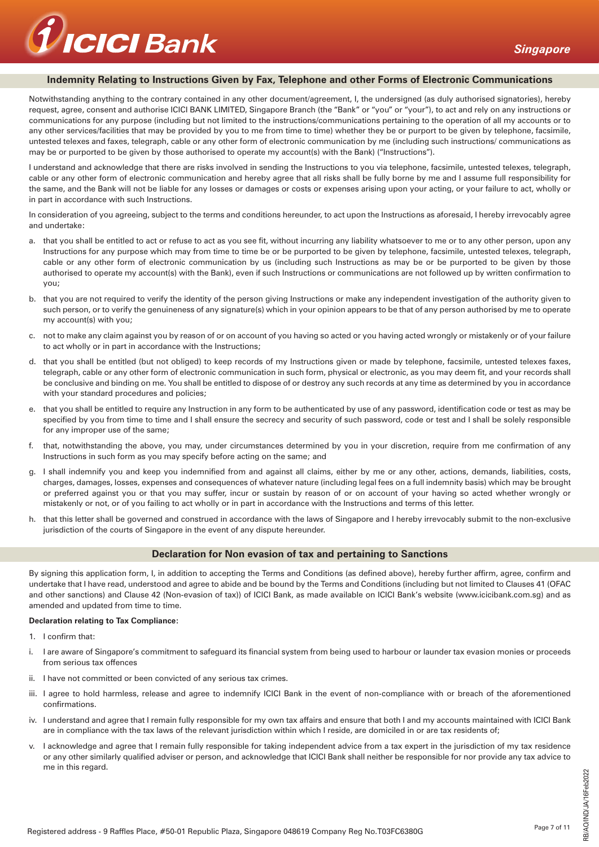

# **Indemnity Relating to Instructions Given by Fax, Telephone and other Forms of Electronic Communications**

Notwithstanding anything to the contrary contained in any other document/agreement. I, the undersigned (as duly authorised signatories), hereby request, agree, consent and authorise ICICI BANK LIMITED, Singapore Branch (the "Bank" or "you" or "your"), to act and rely on any instructions or communications for any purpose (including but not limited to the instructions/communications pertaining to the operation of all my accounts or to any other services/facilities that may be provided by you to me from time to time) whether they be or purport to be given by telephone, facsimile, untested telexes and faxes, telegraph, cable or any other form of electronic communication by me (including such instructions/ communications as may be or purported to be given by those authorised to operate my account(s) with the Bank) ("Instructions").

I understand and acknowledge that there are risks involved in sending the Instructions to you via telephone, facsimile, untested telexes, telegraph, cable or any other form of electronic communication and hereby agree that all risks shall be fully borne by me and I assume full responsibility for the same, and the Bank will not be liable for any losses or damages or costs or expenses arising upon your acting, or your failure to act, wholly or in part in accordance with such Instructions.

In consideration of you agreeing, subject to the terms and conditions hereunder, to act upon the Instructions as aforesaid, I hereby irrevocably agree and undertake:

- a. that you shall be entitled to act or refuse to act as you see fit, without incurring any liability whatsoever to me or to any other person, upon any Instructions for any purpose which may from time to time be or be purported to be given by telephone, facsimile, untested telexes, telegraph, cable or any other form of electronic communication by us (including such Instructions as may be or be purported to be given by those authorised to operate my account(s) with the Bank), even if such Instructions or communications are not followed up by written confirmation to you;
- b. that you are not required to verify the identity of the person giving Instructions or make any independent investigation of the authority given to such person, or to verify the genuineness of any signature(s) which in your opinion appears to be that of any person authorised by me to operate my account(s) with you;
- c. not to make any claim against you by reason of or on account of you having so acted or you having acted wrongly or mistakenly or of your failure to act wholly or in part in accordance with the Instructions;
- d. that you shall be entitled (but not obliged) to keep records of my Instructions given or made by telephone, facsimile, untested telexes faxes, telegraph, cable or any other form of electronic communication in such form, physical or electronic, as you may deem fit, and your records shall be conclusive and binding on me. You shall be entitled to dispose of or destroy any such records at any time as determined by you in accordance with your standard procedures and policies;
- e. that you shall be entitled to require any Instruction in any form to be authenticated by use of any password, identification code or test as may be specified by you from time to time and I shall ensure the secrecy and security of such password, code or test and I shall be solely responsible for any improper use of the same;
- f. that, notwithstanding the above, you may, under circumstances determined by you in your discretion, require from me confirmation of any Instructions in such form as you may specify before acting on the same; and
- g. I shall indemnify you and keep you indemnified from and against all claims, either by me or any other, actions, demands, liabilities, costs, charges, damages, losses, expenses and consequences of whatever nature (including legal fees on a full indemnity basis) which may be brought or preferred against you or that you may suffer, incur or sustain by reason of or on account of your having so acted whether wrongly or mistakenly or not, or of you failing to act wholly or in part in accordance with the Instructions and terms of this letter.
- h. that this letter shall be governed and construed in accordance with the laws of Singapore and I hereby irrevocably submit to the non-exclusive jurisdiction of the courts of Singapore in the event of any dispute hereunder.

## **Declaration for Non evasion of tax and pertaining to Sanctions**

By signing this application form, I, in addition to accepting the Terms and Conditions (as defined above), hereby further affirm, agree, confirm and undertake that I have read, understood and agree to abide and be bound by the Terms and Conditions (including but not limited to Clauses 41 (OFAC and other sanctions) and Clause 42 (Non-evasion of tax)) of ICICI Bank, as made available on ICICI Bank's website (www.icicibank.com.sg) and as amended and updated from time to time.

#### **Declaration relating to Tax Compliance:**

- 1. I confirm that:
- i. I are aware of Singapore's commitment to safeguard its financial system from being used to harbour or launder tax evasion monies or proceeds from serious tax offences
- ii. I have not committed or been convicted of any serious tax crimes.
- iii. I agree to hold harmless, release and agree to indemnify ICICI Bank in the event of non-compliance with or breach of the aforementioned confirmations.
- iv. I understand and agree that I remain fully responsible for my own tax affairs and ensure that both I and my accounts maintained with ICICI Bank are in compliance with the tax laws of the relevant jurisdiction within which I reside, are domiciled in or are tax residents of;
- v. I acknowledge and agree that I remain fully responsible for taking independent advice from a tax expert in the jurisdiction of my tax residence or any other similarly qualified adviser or person, and acknowledge that ICICI Bank shall neither be responsible for nor provide any tax advice to me in this regard.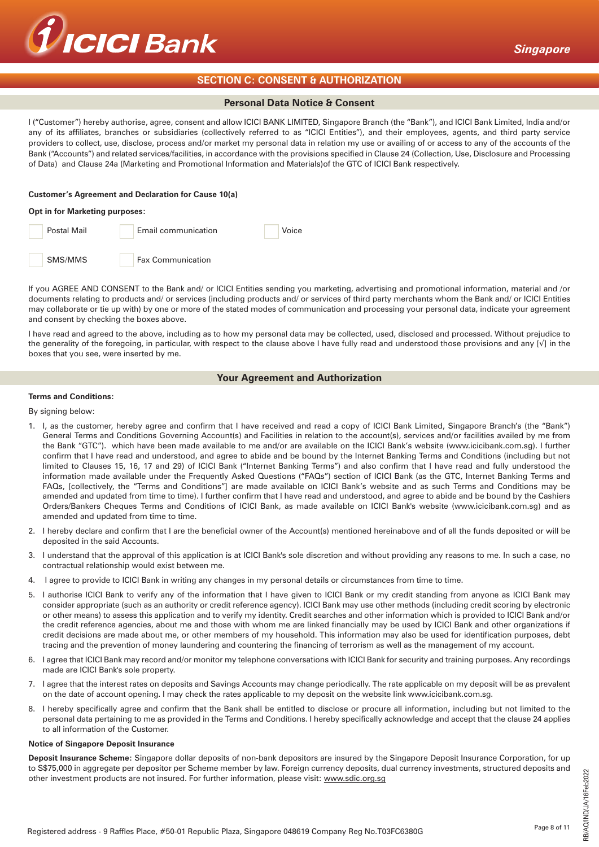

# **SECTION C: CONSENT & AUTHORIZATION**

# **Personal Data Notice & Consent**

I ("Customer") hereby authorise, agree, consent and allow ICICI BANK LIMITED, Singapore Branch (the "Bank"), and ICICI Bank Limited, India and/or any of its affiliates, branches or subsidiaries (collectively referred to as "ICICI Entities"), and their employees, agents, and third party service providers to collect, use, disclose, process and/or market my personal data in relation my use or availing of or access to any of the accounts of the Bank ("Accounts") and related services/facilities, in accordance with the provisions specified in Clause 24 (Collection, Use, Disclosure and Processing of Data) and Clause 24a (Marketing and Promotional Information and Materials)of the GTC of ICICI Bank respectively.

#### **Customer's Agreement and Declaration for Cause 10(a)**

#### **Opt in for Marketing purposes:**



If you AGREE AND CONSENT to the Bank and/ or ICICI Entities sending you marketing, advertising and promotional information, material and /or documents relating to products and/ or services (including products and/ or services of third party merchants whom the Bank and/ or ICICI Entities may collaborate or tie up with) by one or more of the stated modes of communication and processing your personal data, indicate your agreement and consent by checking the boxes above.

I have read and agreed to the above, including as to how my personal data may be collected, used, disclosed and processed. Without prejudice to the generality of the foregoing, in particular, with respect to the clause above I have fully read and understood those provisions and any [√] in the boxes that you see, were inserted by me.

# **Your Agreement and Authorization**

### **Terms and Conditions:**

### By signing below:

- 1. I, as the customer, hereby agree and confirm that I have received and read a copy of ICICI Bank Limited, Singapore Branch's (the "Bank") General Terms and Conditions Governing Account(s) and Facilities in relation to the account(s), services and/or facilities availed by me from the Bank "GTC"). which have been made available to me and/or are available on the ICICI Bank's website (www.icicibank.com.sg). I further confirm that I have read and understood, and agree to abide and be bound by the Internet Banking Terms and Conditions (including but not limited to Clauses 15, 16, 17 and 29) of ICICI Bank ("Internet Banking Terms") and also confirm that I have read and fully understood the information made available under the Frequently Asked Questions ("FAQs") section of ICICI Bank (as the GTC, Internet Banking Terms and FAQs, [collectively, the "Terms and Conditions"] are made available on ICICI Bank's website and as such Terms and Conditions may be amended and updated from time to time). I further confirm that I have read and understood, and agree to abide and be bound by the Cashiers Orders/Bankers Cheques Terms and Conditions of ICICI Bank, as made available on ICICI Bank's website (www.icicibank.com.sg) and as amended and updated from time to time.
- 2. I hereby declare and confirm that I are the beneficial owner of the Account(s) mentioned hereinabove and of all the funds deposited or will be deposited in the said Accounts.
- 3. I understand that the approval of this application is at ICICI Bank's sole discretion and without providing any reasons to me. In such a case, no contractual relationship would exist between me.
- 4. I agree to provide to ICICI Bank in writing any changes in my personal details or circumstances from time to time.
- 5. I authorise ICICI Bank to verify any of the information that I have given to ICICI Bank or my credit standing from anyone as ICICI Bank may consider appropriate (such as an authority or credit reference agency). ICICI Bank may use other methods (including credit scoring by electronic or other means) to assess this application and to verify my identity. Credit searches and other information which is provided to ICICI Bank and/or the credit reference agencies, about me and those with whom me are linked financially may be used by ICICI Bank and other organizations if credit decisions are made about me, or other members of my household. This information may also be used for identification purposes, debt tracing and the prevention of money laundering and countering the financing of terrorism as well as the management of my account.
- 6. I agree that ICICI Bank may record and/or monitor my telephone conversations with ICICI Bank for security and training purposes. Any recordings made are ICICI Bank's sole property.
- 7. I agree that the interest rates on deposits and Savings Accounts may change periodically. The rate applicable on my deposit will be as prevalent on the date of account opening. I may check the rates applicable to my deposit on the website link www.icicibank.com.sg.
- 8. I hereby specifically agree and confirm that the Bank shall be entitled to disclose or procure all information, including but not limited to the personal data pertaining to me as provided in the Terms and Conditions. I hereby specifically acknowledge and accept that the clause 24 applies to all information of the Customer.

#### **Notice of Singapore Deposit Insurance**

**Deposit Insurance Scheme:** Singapore dollar deposits of non-bank depositors are insured by the Singapore Deposit Insurance Corporation, for up to S\$75,000 in aggregate per depositor per Scheme member by law. Foreign currency deposits, dual currency investments, structured deposits and other investment products are not insured. For further information, please visit: www.sdic.org.sg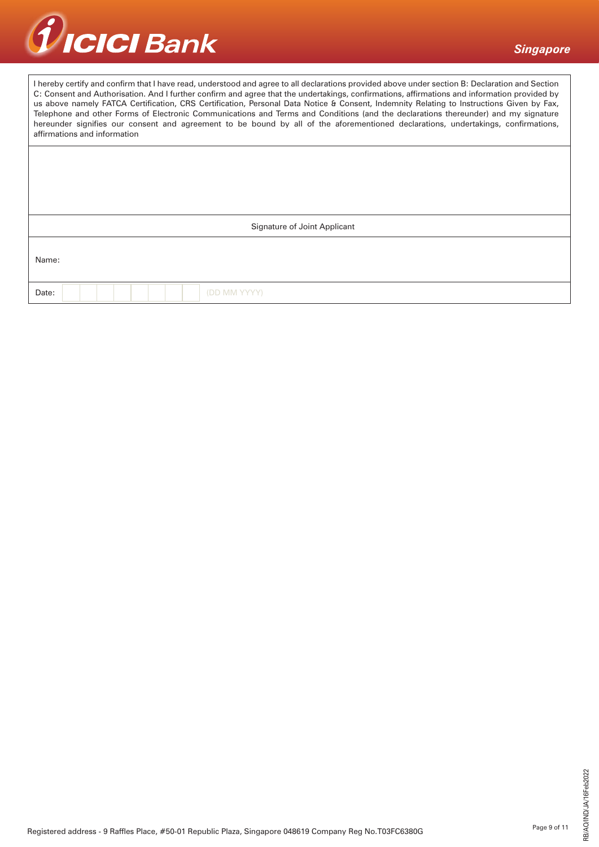

| I hereby certify and confirm that I have read, understood and agree to all declarations provided above under section B: Declaration and Section<br>C: Consent and Authorisation. And I further confirm and agree that the undertakings, confirmations, affirmations and information provided by |
|-------------------------------------------------------------------------------------------------------------------------------------------------------------------------------------------------------------------------------------------------------------------------------------------------|
| us above namely FATCA Certification, CRS Certification, Personal Data Notice & Consent, Indemnity Relating to Instructions Given by Fax,                                                                                                                                                        |
| Telephone and other Forms of Electronic Communications and Terms and Conditions (and the declarations thereunder) and my signature                                                                                                                                                              |
| hereunder signifies our consent and agreement to be bound by all of the aforementioned declarations, undertakings, confirmations,<br>affirmations and information                                                                                                                               |

|       | Signature of Joint Applicant |
|-------|------------------------------|
| Name: |                              |
| Date: | (DD MM YYYY)                 |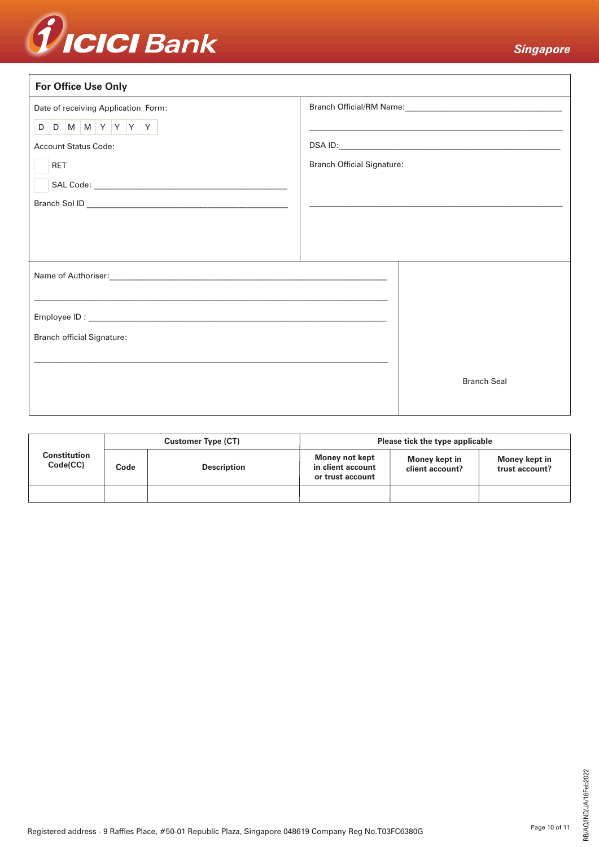

| <b>For Office Use Only</b>                                 |                                   |                                                                                                                                                                                                                                                                                                                                                                   |
|------------------------------------------------------------|-----------------------------------|-------------------------------------------------------------------------------------------------------------------------------------------------------------------------------------------------------------------------------------------------------------------------------------------------------------------------------------------------------------------|
| Date of receiving Application Form:                        |                                   |                                                                                                                                                                                                                                                                                                                                                                   |
| $D$ $D$ $M$ $M$ $Y$ $Y$ $Y$<br><b>Account Status Code:</b> |                                   | <u> 1989 - Jan James James James James James James James James James James James James James James James James J</u><br>DSA ID: <b>Andrea</b> ID: <b>Andrea ID: Andrea ID: Andrea ID: Andrea ID: Andrea ID: Andrea ID: Andrea ID: Andrea ID: Andrea ID: Andrea ID: Andrea ID: Andrea ID: Andrea ID: Andrea ID: Andrea ID: Andrea ID: Andrea ID: Andrea ID: An</b> |
| <b>RET</b>                                                 | <b>Branch Official Signature:</b> |                                                                                                                                                                                                                                                                                                                                                                   |
|                                                            |                                   |                                                                                                                                                                                                                                                                                                                                                                   |
|                                                            |                                   |                                                                                                                                                                                                                                                                                                                                                                   |
|                                                            |                                   |                                                                                                                                                                                                                                                                                                                                                                   |
|                                                            |                                   |                                                                                                                                                                                                                                                                                                                                                                   |
| <b>Branch official Signature:</b>                          |                                   |                                                                                                                                                                                                                                                                                                                                                                   |
|                                                            |                                   | <b>Branch Seal</b>                                                                                                                                                                                                                                                                                                                                                |
|                                                            |                                   |                                                                                                                                                                                                                                                                                                                                                                   |

|                          |      | <b>Customer Type (CT)</b> | Please tick the type applicable                         |                                  |                                 |  |  |  |
|--------------------------|------|---------------------------|---------------------------------------------------------|----------------------------------|---------------------------------|--|--|--|
| Constitution<br>Code(CC) | Code | <b>Description</b>        | Money not kept<br>in client account<br>or trust account | Money kept in<br>client account? | Money kept in<br>trust account? |  |  |  |
|                          |      |                           |                                                         |                                  |                                 |  |  |  |